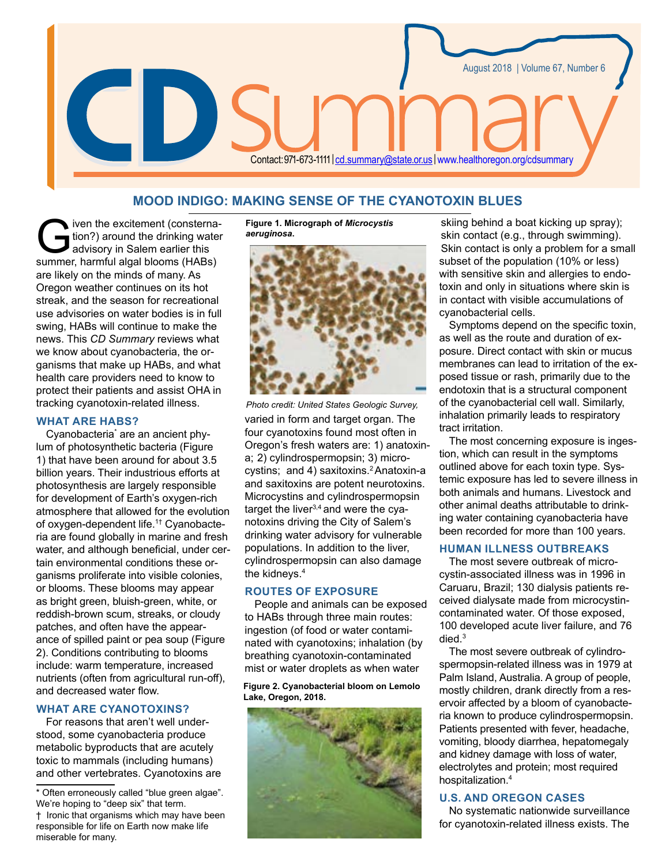

# **MOOD INDIGO: MAKING SENSE OF THE CYANOTOXIN BLUES**

iven the excitement (consterna-<br>tion?) around the drinking water<br>advisory in Salem earlier this<br>summer harmful algal blooms (HARs) tion?) around the drinking water advisory in Salem earlier this summer, harmful algal blooms (HABs) are likely on the minds of many. As Oregon weather continues on its hot streak, and the season for recreational use advisories on water bodies is in full swing, HABs will continue to make the news. This *CD Summary* reviews what we know about cyanobacteria, the organisms that make up HABs, and what health care providers need to know to protect their patients and assist OHA in tracking cyanotoxin-related illness.

#### **WHAT ARE HABS?**

Cyanobacteria\* are an ancient phylum of photosynthetic bacteria (Figure 1) that have been around for about 3.5 billion years. Their industrious efforts at photosynthesis are largely responsible for development of Earth's oxygen-rich atmosphere that allowed for the evolution of oxygen-dependent life.1† Cyanobacteria are found globally in marine and fresh water, and although beneficial, under certain environmental conditions these organisms proliferate into visible colonies, or blooms. These blooms may appear as bright green, bluish-green, white, or reddish-brown scum, streaks, or cloudy patches, and often have the appearance of spilled paint or pea soup (Figure 2). Conditions contributing to blooms include: warm temperature, increased nutrients (often from agricultural run-off), and decreased water flow.

## **WHAT ARE CYANOTOXINS?**

For reasons that aren't well understood, some cyanobacteria produce metabolic byproducts that are acutely toxic to mammals (including humans) and other vertebrates. Cyanotoxins are

Often erroneously called "blue green algae". We're hoping to "deep six" that term. † Ironic that organisms which may have been responsible for life on Earth now make life miserable for many.

**Figure 1. Micrograph of** *Microcystis aeruginosa***.**



varied in form and target organ. The four cyanotoxins found most often in Oregon's fresh waters are: 1) anatoxina; 2) cylindrospermopsin; 3) microcystins; and 4) saxitoxins.<sup>2</sup> Anatoxin-a and saxitoxins are potent neurotoxins. Microcystins and cylindrospermopsin target the liver $3,4$  and were the cyanotoxins driving the City of Salem's drinking water advisory for vulnerable populations. In addition to the liver, cylindrospermopsin can also damage the kidneys.4 *Photo credit: United States Geologic Survey,* 

## **ROUTES OF EXPOSURE**

People and animals can be exposed to HABs through three main routes: ingestion (of food or water contaminated with cyanotoxins; inhalation (by breathing cyanotoxin-contaminated mist or water droplets as when water

#### **Figure 2. Cyanobacterial bloom on Lemolo Lake, Oregon, 2018.**



skiing behind a boat kicking up spray); skin contact (e.g., through swimming). Skin contact is only a problem for a small subset of the population (10% or less) with sensitive skin and allergies to endotoxin and only in situations where skin is in contact with visible accumulations of cyanobacterial cells.

Symptoms depend on the specific toxin, as well as the route and duration of exposure. Direct contact with skin or mucus membranes can lead to irritation of the exposed tissue or rash, primarily due to the endotoxin that is a structural component of the cyanobacterial cell wall. Similarly, inhalation primarily leads to respiratory tract irritation.

The most concerning exposure is ingestion, which can result in the symptoms outlined above for each toxin type. Systemic exposure has led to severe illness in both animals and humans. Livestock and other animal deaths attributable to drinking water containing cyanobacteria have been recorded for more than 100 years.

## **HUMAN ILLNESS OUTBREAKS**

The most severe outbreak of microcystin-associated illness was in 1996 in Caruaru, Brazil; 130 dialysis patients received dialysate made from microcystincontaminated water. Of those exposed, 100 developed acute liver failure, and 76 died.3

The most severe outbreak of cylindrospermopsin-related illness was in 1979 at Palm Island, Australia. A group of people, mostly children, drank directly from a reservoir affected by a bloom of cyanobacteria known to produce cylindrospermopsin. Patients presented with fever, headache, vomiting, bloody diarrhea, hepatomegaly and kidney damage with loss of water, electrolytes and protein; most required hospitalization.4

#### **U.S. AND OREGON CASES**

No systematic nationwide surveillance for cyanotoxin-related illness exists. The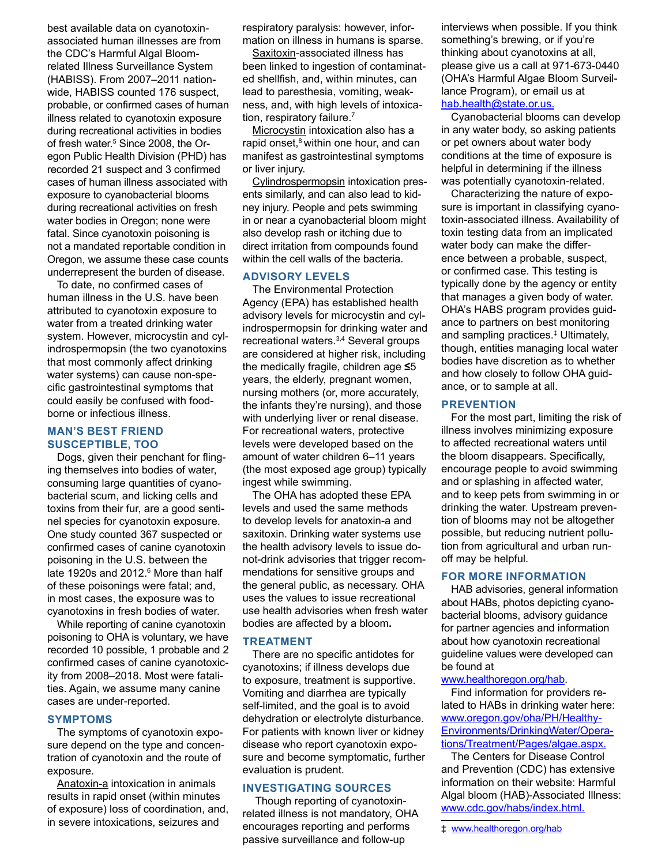best available data on cyanotoxinassociated human illnesses are from the CDC's Harmful Algal Bloomrelated Illness Surveillance System (HABISS). From 2007–2011 nationwide, HABISS counted 176 suspect, probable, or confirmed cases of human illness related to cyanotoxin exposure during recreational activities in bodies of fresh water.<sup>5</sup> Since 2008, the Oregon Public Health Division (PHD) has recorded 21 suspect and 3 confirmed cases of human illness associated with exposure to cyanobacterial blooms during recreational activities on fresh water bodies in Oregon; none were fatal. Since cyanotoxin poisoning is not a mandated reportable condition in Oregon, we assume these case counts underrepresent the burden of disease.

To date, no confirmed cases of human illness in the U.S. have been attributed to cyanotoxin exposure to water from a treated drinking water system. However, microcystin and cylindrospermopsin (the two cyanotoxins that most commonly affect drinking water systems) can cause non-specific gastrointestinal symptoms that could easily be confused with foodborne or infectious illness.

## **MAN'S BEST FRIEND SUSCEPTIBLE, TOO**

Dogs, given their penchant for flinging themselves into bodies of water, consuming large quantities of cyanobacterial scum, and licking cells and toxins from their fur, are a good sentinel species for cyanotoxin exposure. One study counted 367 suspected or confirmed cases of canine cyanotoxin poisoning in the U.S. between the late 1920s and 2012.<sup>6</sup> More than half of these poisonings were fatal; and, in most cases, the exposure was to cyanotoxins in fresh bodies of water.

While reporting of canine cyanotoxin poisoning to OHA is voluntary, we have recorded 10 possible, 1 probable and 2 confirmed cases of canine cyanotoxicity from 2008–2018. Most were fatalities. Again, we assume many canine cases are under-reported.

#### **SYMPTOMS**

The symptoms of cyanotoxin exposure depend on the type and concentration of cyanotoxin and the route of exposure.

Anatoxin-a intoxication in animals results in rapid onset (within minutes of exposure) loss of coordination, and, in severe intoxications, seizures and

respiratory paralysis: however, information on illness in humans is sparse.

Saxitoxin-associated illness has been linked to ingestion of contaminated shellfish, and, within minutes, can lead to paresthesia, vomiting, weakness, and, with high levels of intoxication, respiratory failure.<sup>7</sup>

Microcystin intoxication also has a rapid onset, $8$  within one hour, and can manifest as gastrointestinal symptoms or liver injury.

Cylindrospermopsin intoxication presents similarly, and can also lead to kidney injury. People and pets swimming in or near a cyanobacterial bloom might also develop rash or itching due to direct irritation from compounds found within the cell walls of the bacteria.

### **ADVISORY LEVELS**

The Environmental Protection Agency (EPA) has established health advisory levels for microcystin and cylindrospermopsin for drinking water and recreational waters.<sup>3,4</sup> Several groups are considered at higher risk, including the medically fragile, children age **≤**5 years, the elderly, pregnant women, nursing mothers (or, more accurately, the infants they're nursing), and those with underlying liver or renal disease. For recreational waters, protective levels were developed based on the amount of water children 6–11 years (the most exposed age group) typically ingest while swimming.

The OHA has adopted these EPA levels and used the same methods to develop levels for anatoxin-a and saxitoxin. Drinking water systems use the health advisory levels to issue donot-drink advisories that trigger recommendations for sensitive groups and the general public, as necessary. OHA uses the values to issue recreational use health advisories when fresh water bodies are affected by a bloom**.**

#### **TREATMENT**

There are no specific antidotes for cyanotoxins; if illness develops due to exposure, treatment is supportive. Vomiting and diarrhea are typically self-limited, and the goal is to avoid dehydration or electrolyte disturbance. For patients with known liver or kidney disease who report cyanotoxin exposure and become symptomatic, further evaluation is prudent.

#### **INVESTIGATING SOURCES**

 Though reporting of cyanotoxinrelated illness is not mandatory, OHA encourages reporting and performs passive surveillance and follow-up

interviews when possible. If you think something's brewing, or if you're thinking about cyanotoxins at all, please give us a call at 971-673-0440 (OHA's Harmful Algae Bloom Surveillance Program), or email us at [hab.health@state.or.us.](mailto:hab.health@state.or.us)

Cyanobacterial blooms can develop in any water body, so asking patients or pet owners about water body conditions at the time of exposure is helpful in determining if the illness was potentially cyanotoxin-related.

Characterizing the nature of exposure is important in classifying cyanotoxin-associated illness. Availability of toxin testing data from an implicated water body can make the difference between a probable, suspect, or confirmed case. This testing is typically done by the agency or entity that manages a given body of water. OHA's HABS program provides guidance to partners on best monitoring and sampling practices.‡ Ultimately, though, entities managing local water bodies have discretion as to whether and how closely to follow OHA guidance, or to sample at all.

#### **PREVENTION**

For the most part, limiting the risk of illness involves minimizing exposure to affected recreational waters until the bloom disappears. Specifically, encourage people to avoid swimming and or splashing in affected water, and to keep pets from swimming in or drinking the water. Upstream prevention of blooms may not be altogether possible, but reducing nutrient pollution from agricultural and urban runoff may be helpful.

#### **FOR MORE INFORMATION**

HAB advisories, general information about HABs, photos depicting cyanobacterial blooms, advisory guidance for partner agencies and information about how cyanotoxin recreational guideline values were developed can be found at

#### [www.healthoregon.org/hab](http://www.healthoregon.org/hab).

Find information for providers related to HABs in drinking water here: [www.oregon.gov/oha/PH/Healthy-](https://www.oregon.gov/oha/PH/HealthyEnvironments/DrinkingWater/Operations/Treatment/Pages/algae.aspx)[Environments/DrinkingWater/Opera](https://www.oregon.gov/oha/PH/HealthyEnvironments/DrinkingWater/Operations/Treatment/Pages/algae.aspx)[tions/Treatment/Pages/algae.aspx](https://www.oregon.gov/oha/PH/HealthyEnvironments/DrinkingWater/Operations/Treatment/Pages/algae.aspx).

The Centers for Disease Control and Prevention (CDC) has extensive information on their website: Harmful Algal bloom (HAB)-Associated Illness: [www.cdc.gov/habs/index.html.](http://www.cdc.gov/habs/index.html)

‡ [www.healthoregon.org/hab](http://www.healthoregon.org/hab)